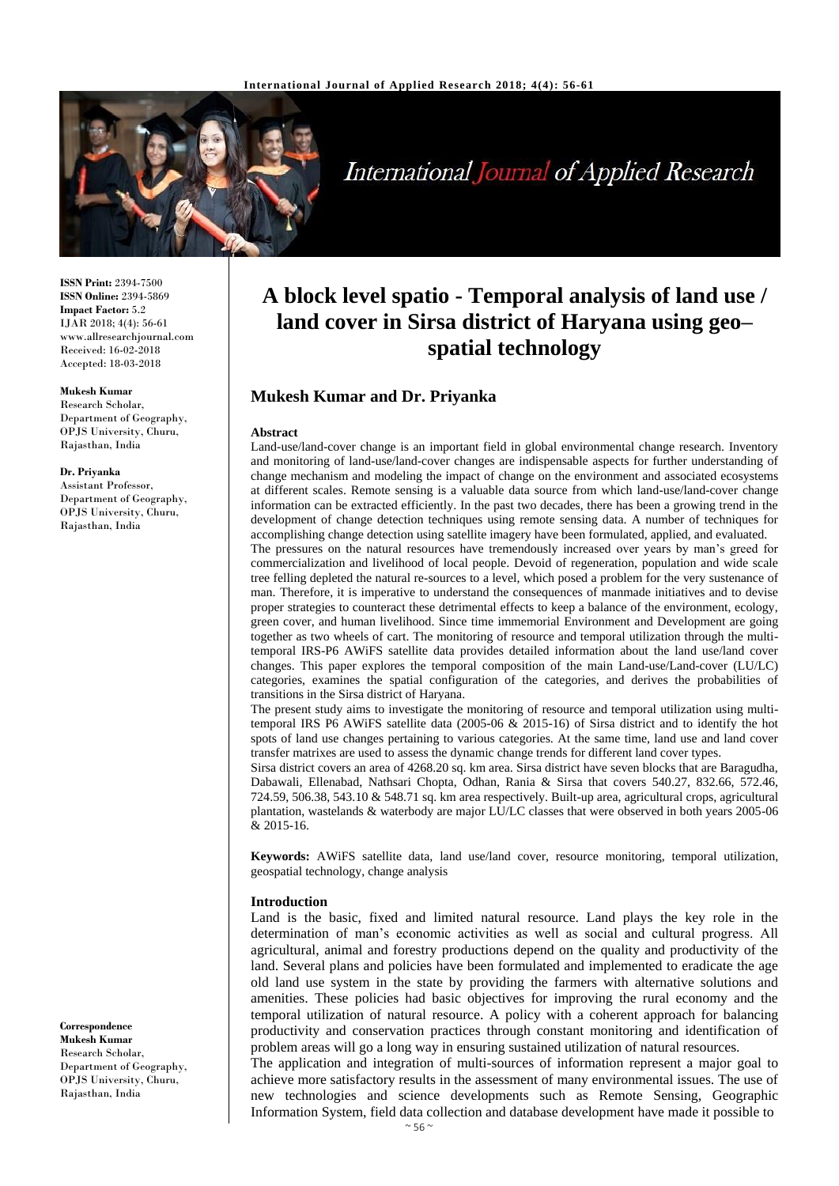

**International Journal of Applied Research** 

**ISSN Print:** 2394-7500 **ISSN Online:** 2394-5869 **Impact Factor:** 5.2 IJAR 2018; 4(4): 56-61 www.allresearchjournal.com Received: 16-02-2018 Accepted: 18-03-2018

#### **Mukesh Kumar**

Research Scholar, Department of Geography, OPJS University, Churu, Rajasthan, India

#### **Dr. Priyanka**

Assistant Professor, Department of Geography, OPJS University, Churu, Rajasthan, India

**Correspondence Mukesh Kumar** Research Scholar, Department of Geography, OPJS University, Churu, Rajasthan, India

# **A block level spatio - Temporal analysis of land use / land cover in Sirsa district of Haryana using geo– spatial technology**

# **Mukesh Kumar and Dr. Priyanka**

#### **Abstract**

Land-use/land-cover change is an important field in global environmental change research. Inventory and monitoring of land-use/land-cover changes are indispensable aspects for further understanding of change mechanism and modeling the impact of change on the environment and associated ecosystems at different scales. Remote sensing is a valuable data source from which land-use/land-cover change information can be extracted efficiently. In the past two decades, there has been a growing trend in the development of change detection techniques using remote sensing data. A number of techniques for accomplishing change detection using satellite imagery have been formulated, applied, and evaluated.

The pressures on the natural resources have tremendously increased over years by man's greed for commercialization and livelihood of local people. Devoid of regeneration, population and wide scale tree felling depleted the natural re-sources to a level, which posed a problem for the very sustenance of man. Therefore, it is imperative to understand the consequences of manmade initiatives and to devise proper strategies to counteract these detrimental effects to keep a balance of the environment, ecology, green cover, and human livelihood. Since time immemorial Environment and Development are going together as two wheels of cart. The monitoring of resource and temporal utilization through the multitemporal IRS-P6 AWiFS satellite data provides detailed information about the land use/land cover changes. This paper explores the temporal composition of the main Land-use/Land-cover (LU/LC) categories, examines the spatial configuration of the categories, and derives the probabilities of transitions in the Sirsa district of Haryana.

The present study aims to investigate the monitoring of resource and temporal utilization using multitemporal IRS P6 AWiFS satellite data (2005-06 & 2015-16) of Sirsa district and to identify the hot spots of land use changes pertaining to various categories. At the same time, land use and land cover transfer matrixes are used to assess the dynamic change trends for different land cover types.

Sirsa district covers an area of 4268.20 sq. km area. Sirsa district have seven blocks that are Baragudha, Dabawali, Ellenabad, Nathsari Chopta, Odhan, Rania & Sirsa that covers 540.27, 832.66, 572.46, 724.59, 506.38, 543.10 & 548.71 sq. km area respectively. Built-up area, agricultural crops, agricultural plantation, wastelands & waterbody are major LU/LC classes that were observed in both years 2005-06 & 2015-16.

**Keywords:** AWiFS satellite data, land use/land cover, resource monitoring, temporal utilization, geospatial technology, change analysis

#### **Introduction**

Land is the basic, fixed and limited natural resource. Land plays the key role in the determination of man's economic activities as well as social and cultural progress. All agricultural, animal and forestry productions depend on the quality and productivity of the land. Several plans and policies have been formulated and implemented to eradicate the age old land use system in the state by providing the farmers with alternative solutions and amenities. These policies had basic objectives for improving the rural economy and the temporal utilization of natural resource. A policy with a coherent approach for balancing productivity and conservation practices through constant monitoring and identification of problem areas will go a long way in ensuring sustained utilization of natural resources.

The application and integration of multi-sources of information represent a major goal to achieve more satisfactory results in the assessment of many environmental issues. The use of new technologies and science developments such as Remote Sensing, Geographic Information System, field data collection and database development have made it possible to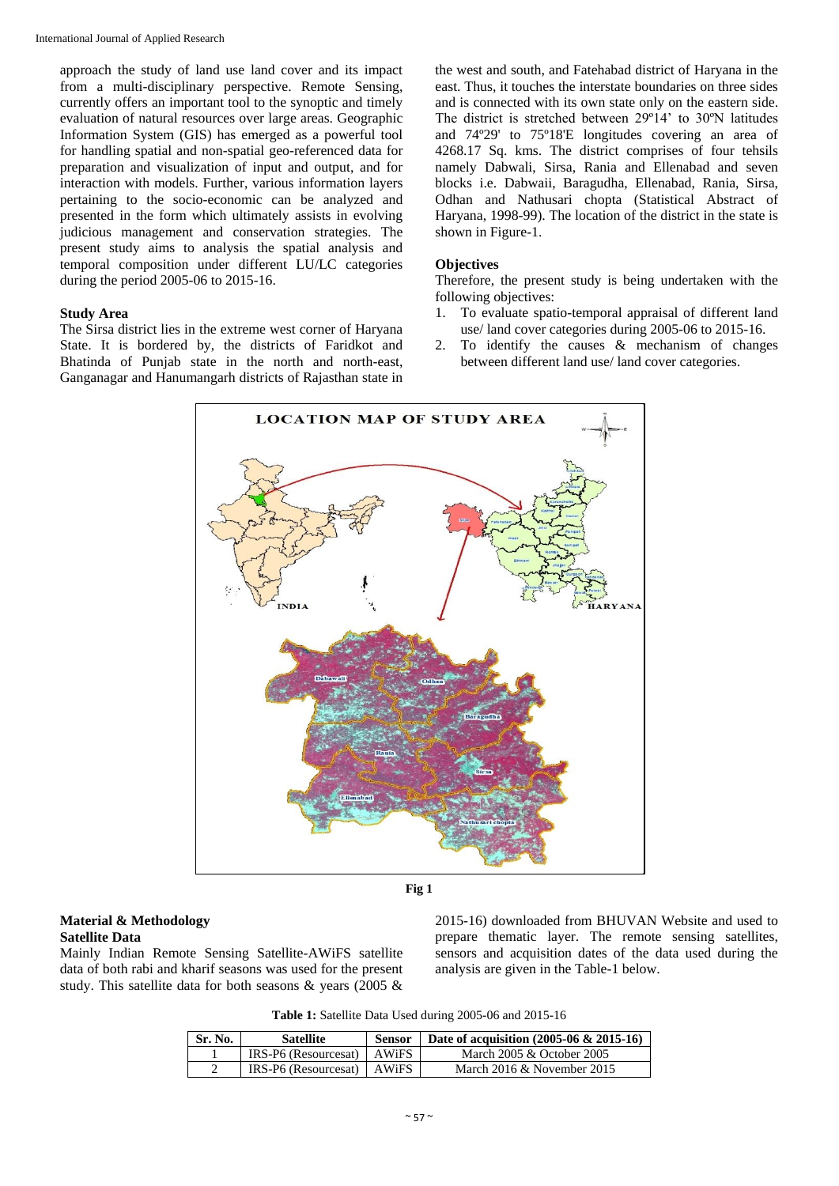approach the study of land use land cover and its impact from a multi-disciplinary perspective. Remote Sensing, currently offers an important tool to the synoptic and timely evaluation of natural resources over large areas. Geographic Information System (GIS) has emerged as a powerful tool for handling spatial and non-spatial geo-referenced data for preparation and visualization of input and output, and for interaction with models. Further, various information layers pertaining to the socio-economic can be analyzed and presented in the form which ultimately assists in evolving judicious management and conservation strategies. The present study aims to analysis the spatial analysis and temporal composition under different LU/LC categories during the period 2005-06 to 2015-16.

## **Study Area**

The Sirsa district lies in the extreme west corner of Haryana State. It is bordered by, the districts of Faridkot and Bhatinda of Punjab state in the north and north-east, Ganganagar and Hanumangarh districts of Rajasthan state in

the west and south, and Fatehabad district of Haryana in the east. Thus, it touches the interstate boundaries on three sides and is connected with its own state only on the eastern side. The district is stretched between 29º14' to 30ºN latitudes and 74º29' to 75º18'E longitudes covering an area of 4268.17 Sq. kms. The district comprises of four tehsils namely Dabwali, Sirsa, Rania and Ellenabad and seven blocks i.e. Dabwaii, Baragudha, Ellenabad, Rania, Sirsa, Odhan and Nathusari chopta (Statistical Abstract of Haryana, 1998-99). The location of the district in the state is shown in Figure-1.

#### **Objectives**

Therefore, the present study is being undertaken with the following objectives:

- 1. To evaluate spatio-temporal appraisal of different land use/ land cover categories during 2005-06 to 2015-16.
- 2. To identify the causes & mechanism of changes between different land use/ land cover categories.





## **Material & Methodology Satellite Data**

Mainly Indian Remote Sensing Satellite-AWiFS satellite data of both rabi and kharif seasons was used for the present study. This satellite data for both seasons & years (2005 & 2015-16) downloaded from BHUVAN Website and used to prepare thematic layer. The remote sensing satellites, sensors and acquisition dates of the data used during the analysis are given in the Table-1 below.

**Table 1:** Satellite Data Used during 2005-06 and 2015-16

| Sr. No. | <b>Satellite</b>             | <b>Sensor</b> | Date of acquisition $(2005-06 \& 2015-16)$ |
|---------|------------------------------|---------------|--------------------------------------------|
|         | IRS-P6 (Resourcesat)   AWiFS |               | March 2005 & October 2005                  |
|         | IRS-P6 (Resourcesat)   AWIFS |               | March $2016 \&$ November 2015              |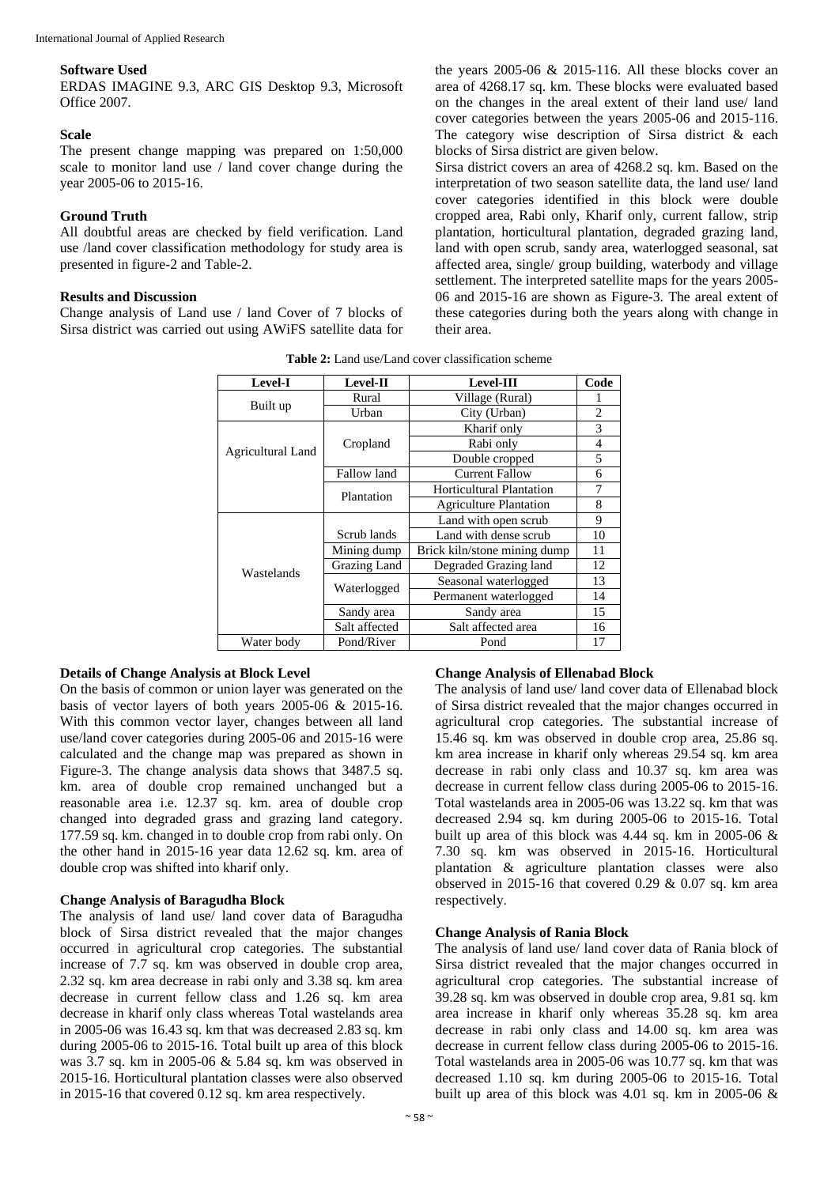## **Software Used**

ERDAS IMAGINE 9.3, ARC GIS Desktop 9.3, Microsoft Office 2007.

## **Scale**

The present change mapping was prepared on 1:50,000 scale to monitor land use / land cover change during the year 2005-06 to 2015-16.

## **Ground Truth**

All doubtful areas are checked by field verification. Land use /land cover classification methodology for study area is presented in figure-2 and Table-2.

#### **Results and Discussion**

Change analysis of Land use / land Cover of 7 blocks of Sirsa district was carried out using AWiFS satellite data for

the years  $2005-06 \& 2015-116$ . All these blocks cover an area of 4268.17 sq. km. These blocks were evaluated based on the changes in the areal extent of their land use/ land cover categories between the years 2005-06 and 2015-116. The category wise description of Sirsa district & each blocks of Sirsa district are given below.

Sirsa district covers an area of 4268.2 sq. km. Based on the interpretation of two season satellite data, the land use/ land cover categories identified in this block were double cropped area, Rabi only, Kharif only, current fallow, strip plantation, horticultural plantation, degraded grazing land, land with open scrub, sandy area, waterlogged seasonal, sat affected area, single/ group building, waterbody and village settlement. The interpreted satellite maps for the years 2005- 06 and 2015-16 are shown as Figure-3. The areal extent of these categories during both the years along with change in their area.

| <b>Level-I</b>           | <b>Level-II</b> | Level-III                     | Code           |
|--------------------------|-----------------|-------------------------------|----------------|
|                          | Rural           | Village (Rural)               |                |
| Built up                 | Urban           | City (Urban)                  | $\overline{c}$ |
|                          |                 | Kharif only                   | 3              |
|                          | Cropland        | Rabi only                     | 4              |
| <b>Agricultural Land</b> |                 | Double cropped                | 5              |
|                          | Fallow land     | <b>Current Fallow</b>         | 6              |
|                          | Plantation      | Horticultural Plantation      | 7              |
|                          |                 | <b>Agriculture Plantation</b> | 8              |
|                          |                 | Land with open scrub          | 9              |
|                          | Scrub lands     | Land with dense scrub         | 10             |
|                          | Mining dump     | Brick kiln/stone mining dump  | 11             |
| Wastelands               | Grazing Land    | Degraded Grazing land         | 12             |
|                          |                 | Seasonal waterlogged          | 13             |
|                          | Waterlogged     | Permanent waterlogged         | 14             |
|                          | Sandy area      | Sandy area                    | 15             |
|                          | Salt affected   | Salt affected area            | 16             |
| Water body               | Pond/River      | Pond                          | 17             |

**Table 2:** Land use/Land cover classification scheme

# **Details of Change Analysis at Block Level**

On the basis of common or union layer was generated on the basis of vector layers of both years 2005-06 & 2015-16. With this common vector layer, changes between all land use/land cover categories during 2005-06 and 2015-16 were calculated and the change map was prepared as shown in Figure-3. The change analysis data shows that 3487.5 sq. km. area of double crop remained unchanged but a reasonable area i.e. 12.37 sq. km. area of double crop changed into degraded grass and grazing land category. 177.59 sq. km. changed in to double crop from rabi only. On the other hand in 2015-16 year data 12.62 sq. km. area of double crop was shifted into kharif only.

#### **Change Analysis of Baragudha Block**

The analysis of land use/ land cover data of Baragudha block of Sirsa district revealed that the major changes occurred in agricultural crop categories. The substantial increase of 7.7 sq. km was observed in double crop area, 2.32 sq. km area decrease in rabi only and 3.38 sq. km area decrease in current fellow class and 1.26 sq. km area decrease in kharif only class whereas Total wastelands area in 2005-06 was 16.43 sq. km that was decreased 2.83 sq. km during 2005-06 to 2015-16. Total built up area of this block was 3.7 sq. km in 2005-06 & 5.84 sq. km was observed in 2015-16. Horticultural plantation classes were also observed in 2015-16 that covered 0.12 sq. km area respectively.

## **Change Analysis of Ellenabad Block**

The analysis of land use/ land cover data of Ellenabad block of Sirsa district revealed that the major changes occurred in agricultural crop categories. The substantial increase of 15.46 sq. km was observed in double crop area, 25.86 sq. km area increase in kharif only whereas 29.54 sq. km area decrease in rabi only class and 10.37 sq. km area was decrease in current fellow class during 2005-06 to 2015-16. Total wastelands area in 2005-06 was 13.22 sq. km that was decreased 2.94 sq. km during 2005-06 to 2015-16. Total built up area of this block was 4.44 sq. km in 2005-06 & 7.30 sq. km was observed in 2015-16. Horticultural plantation & agriculture plantation classes were also observed in 2015-16 that covered 0.29 & 0.07 sq. km area respectively.

#### **Change Analysis of Rania Block**

The analysis of land use/ land cover data of Rania block of Sirsa district revealed that the major changes occurred in agricultural crop categories. The substantial increase of 39.28 sq. km was observed in double crop area, 9.81 sq. km area increase in kharif only whereas 35.28 sq. km area decrease in rabi only class and 14.00 sq. km area was decrease in current fellow class during 2005-06 to 2015-16. Total wastelands area in 2005-06 was 10.77 sq. km that was decreased 1.10 sq. km during 2005-06 to 2015-16. Total built up area of this block was 4.01 sq. km in 2005-06 &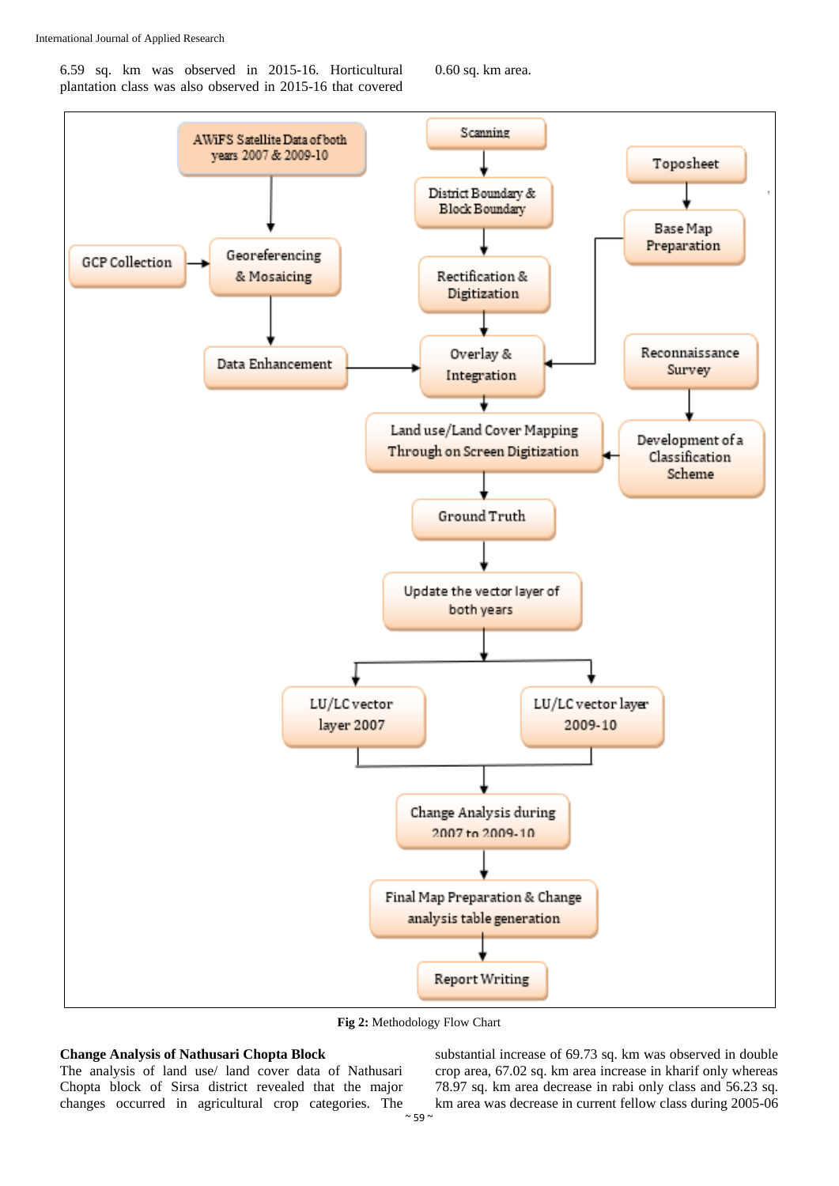6.59 sq. km was observed in 2015-16. Horticultural plantation class was also observed in 2015-16 that covered

0.60 sq. km area.



**Fig 2:** Methodology Flow Chart

## **Change Analysis of Nathusari Chopta Block**

The analysis of land use/ land cover data of Nathusari Chopta block of Sirsa district revealed that the major changes occurred in agricultural crop categories. The substantial increase of 69.73 sq. km was observed in double crop area, 67.02 sq. km area increase in kharif only whereas 78.97 sq. km area decrease in rabi only class and 56.23 sq. km area was decrease in current fellow class during 2005-06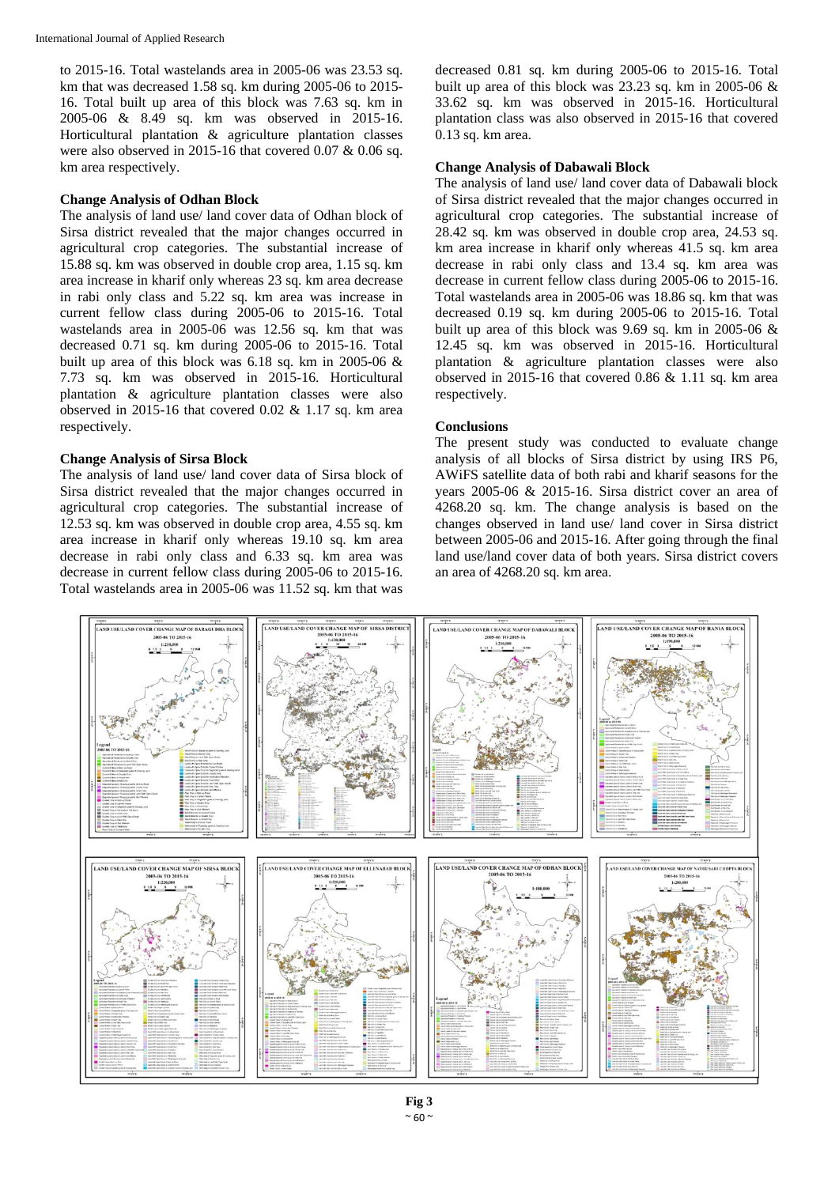to 2015-16. Total wastelands area in 2005-06 was 23.53 sq. km that was decreased 1.58 sq. km during 2005-06 to 2015- 16. Total built up area of this block was 7.63 sq. km in 2005-06 & 8.49 sq. km was observed in 2015-16. Horticultural plantation & agriculture plantation classes were also observed in 2015-16 that covered 0.07 & 0.06 sq. km area respectively.

## **Change Analysis of Odhan Block**

The analysis of land use/ land cover data of Odhan block of Sirsa district revealed that the major changes occurred in agricultural crop categories. The substantial increase of 15.88 sq. km was observed in double crop area, 1.15 sq. km area increase in kharif only whereas 23 sq. km area decrease in rabi only class and 5.22 sq. km area was increase in current fellow class during 2005-06 to 2015-16. Total wastelands area in 2005-06 was 12.56 sq. km that was decreased 0.71 sq. km during 2005-06 to 2015-16. Total built up area of this block was 6.18 sq. km in 2005-06 & 7.73 sq. km was observed in 2015-16. Horticultural plantation & agriculture plantation classes were also observed in 2015-16 that covered 0.02 & 1.17 sq. km area respectively.

## **Change Analysis of Sirsa Block**

The analysis of land use/ land cover data of Sirsa block of Sirsa district revealed that the major changes occurred in agricultural crop categories. The substantial increase of 12.53 sq. km was observed in double crop area, 4.55 sq. km area increase in kharif only whereas 19.10 sq. km area decrease in rabi only class and 6.33 sq. km area was decrease in current fellow class during 2005-06 to 2015-16. Total wastelands area in 2005-06 was 11.52 sq. km that was

decreased 0.81 sq. km during 2005-06 to 2015-16. Total built up area of this block was 23.23 sq. km in 2005-06 & 33.62 sq. km was observed in 2015-16. Horticultural plantation class was also observed in 2015-16 that covered 0.13 sq. km area.

#### **Change Analysis of Dabawali Block**

The analysis of land use/ land cover data of Dabawali block of Sirsa district revealed that the major changes occurred in agricultural crop categories. The substantial increase of 28.42 sq. km was observed in double crop area, 24.53 sq. km area increase in kharif only whereas 41.5 sq. km area decrease in rabi only class and 13.4 sq. km area was decrease in current fellow class during 2005-06 to 2015-16. Total wastelands area in 2005-06 was 18.86 sq. km that was decreased 0.19 sq. km during 2005-06 to 2015-16. Total built up area of this block was 9.69 sq. km in 2005-06 & 12.45 sq. km was observed in 2015-16. Horticultural plantation & agriculture plantation classes were also observed in 2015-16 that covered 0.86 & 1.11 sq. km area respectively.

## **Conclusions**

The present study was conducted to evaluate change analysis of all blocks of Sirsa district by using IRS P6, AWiFS satellite data of both rabi and kharif seasons for the years 2005-06 & 2015-16. Sirsa district cover an area of 4268.20 sq. km. The change analysis is based on the changes observed in land use/ land cover in Sirsa district between 2005-06 and 2015-16. After going through the final land use/land cover data of both years. Sirsa district covers an area of 4268.20 sq. km area.



 $~\sim$  60  $~\sim$ **Fig 3**